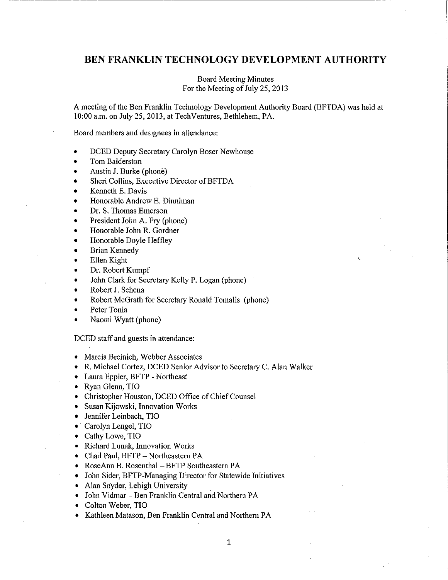# **BEN FRANKLIN TECHNOLOGY DEVELOPMENT AUTHORITY**

Board Meeting Minutes For the Meeting of July 25, 2013

A meeting of the Ben Franklin Technology Development Authority Board (BFTDA) was held at 10:00 a.m. on July 25, 2013, at Tech Ventures, Bethlehem, PA.

Board members and designees in attendance:

- DCED Deputy Secretary Carolyn Boser Newhouse
- Tom Balderston
- Austin J. Burke (phone)
- Sheri Collins, Executive Director of BFTDA
- Kenneth E. Davis
- Honorable Andrew E. Dinniman
- Dr. S. Thomas Emerson
- President John A. Fry (phone)
- Honorable John R. Gordner
- Honorable Doyle Heffley
- Brian Kennedy
- **Ellen Kight**
- Dr. Robert Kumpf
- John Clark for Secretary Kelly P. Logan (phone)
- Robert J. Schena
- Robert McGrath for Secretary Ronald Tomalis (phone)
- Peter Tonia
- Naomi Wyatt (phone)

DCED staff and guests in attendance:

- Marcia Breinich, Webber Associates
- R. Michael Cortez, DCED Senior Advisor to Secretary C. Alan Walker
- Laura Eppler, BFTP Northeast
- Ryan Glenn, TIO
- Christopher Houston, DCED Office of Chief Counsel
- Susan Kijowski, Innovation Works
- Jennifer Leinbach, TIO
- · Carolyn Lengel, TIO
- Cathy Lowe, TIO
- Richard Lunak, Innovation Works
- Chad Paul, BFTP Northeastern PA
- RoseAnn B. Rosenthal BFTP Southeastern PA
- John Sider, BFTP-Managing Director for Statewide Initiatives
- Alan Snyder, Lehigh University
- John Vidmar Ben Franklin Central and Northern PA
- Colton Weber, TIO
- Kathleen Matason, Ben Franklin Central and Northern PA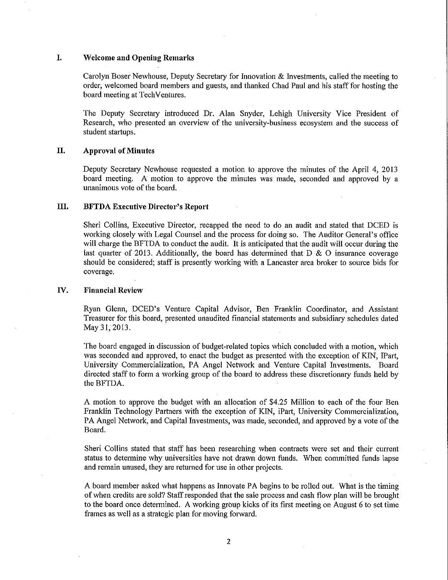# **I. Welcome and Opening Remarks**

Carolyn Boser Newhouse, Deputy Secretary for Innovation & Investments, called the meeting to order, welcomed board members and guests, and thanked Chad Paul and his staff for hosting the board meeting at TechVentures.

The Deputy Secretary introduced Dr. Alan Snyder, Lehigh University Vice President of Research, who presented an overview of the university-business ecosystem and the success of student startups.

#### **II. Approval of Minutes**

Deputy Secretary Newhouse requested a motion to approve the minutes of the April 4, 2013 board meeting. A motion to approve the minutes was made, seconded and approved by a unanimous vote of the board.

## **III. BFTDA Executive Director's Report**

Sheri Collins, Executive Director, recapped the need to do an audit and stated that DCED is working closely with Legal Counsel and the process for doing so. The Auditor General's office will charge the BFTDA to conduct the audit. It is anticipated that the audit will occur during the last quarter of 2013. Additionally, the board has determined that  $D \& O$  insurance coverage should be considered; staff is presently working with a Lancaster area broker to source bids for coverage.

## **IV. Financial Review**

Ryan Glenn, DCED's Venture Capital Advisor, Ben Franklin Coordinator, and Assistant Treasurer for this board, presented unaudited financial statements and subsidiary schedules dated May 31, 2013.

The board engaged in discussion of budget-related topics which concluded with a motion, which was seconded and approved, to enact the budget as presented with the exception of KIN, IPart, University Commercialization, PA Angel Network and Venture Capital Investments. Board directed staff to form a working group of the board to address these discretionary funds held by the BFTDA.

A motion to approve the budget with an allocation of \$4.25 Million to each of the four Ben Franklin Technology Partners with the exception of KIN, iPart, University Commercialization, PA Angel Network, and Capital Investments, was made, seconded, and approved by a vote of the Board.

Sheri Collins stated that staff has been researching when contracts were set and their current status to detennine why universities have not drawn down funds. When committed funds lapse and remain unused, they are returned for use in other projects.

A board member asked what happens as Innovate PA begins to be rolled out. What is the timing of when credits are sold? Staff responded that the sale process and cash flow plan will be brought to the board once determined. A working group kicks of its first meeting on August 6 to set time frames as well as a strategic plan for moving forward.